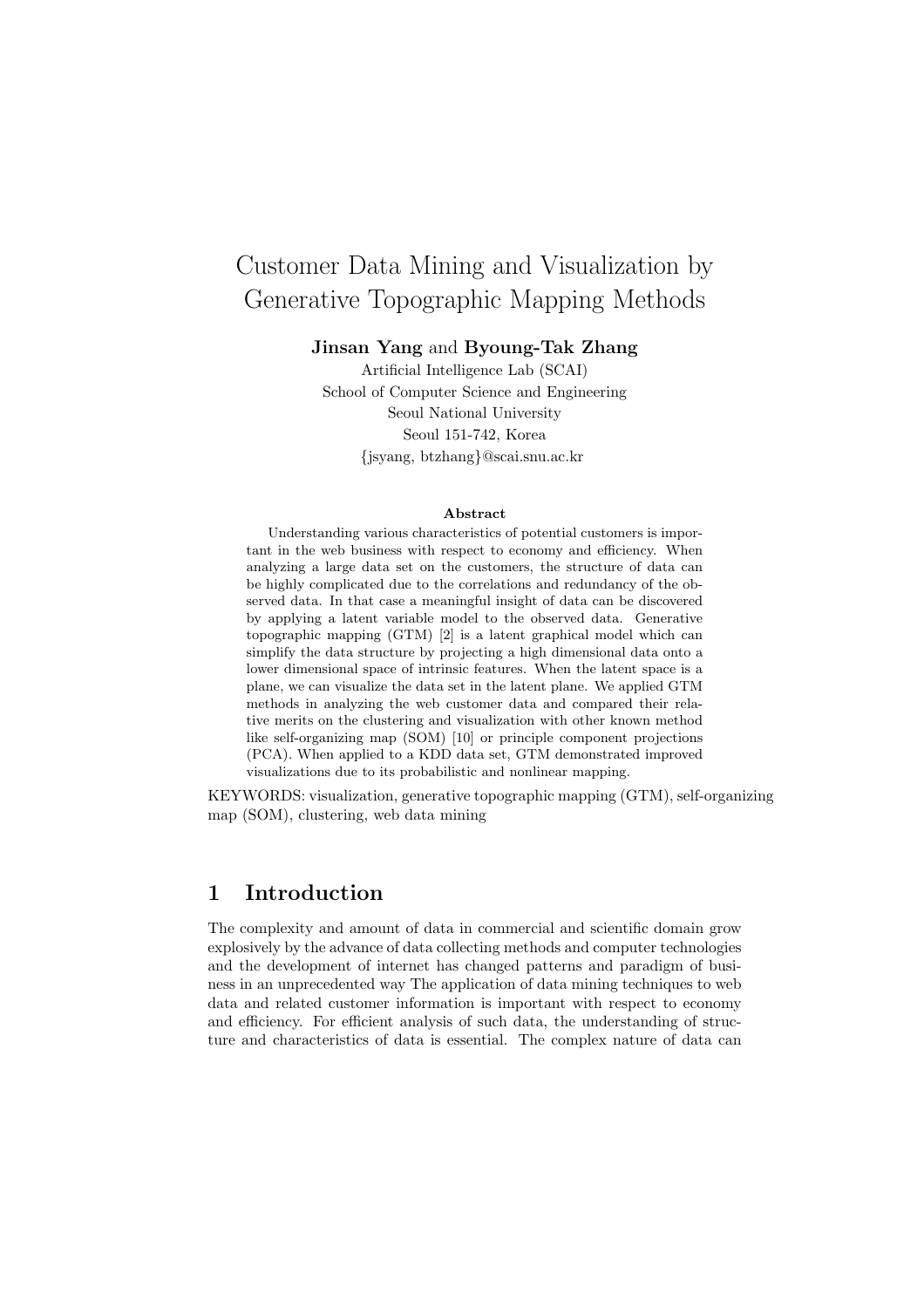# Customer Data Mining and Visualization by Generative Topographic Mapping Methods

**Jinsan Yang** and **Byoung-Tak Zhang**

Artificial Intelligence Lab (SCAI) School of Computer Science and Engineering Seoul National University Seoul 151-742, Korea {jsyang, btzhang}@scai.snu.ac.kr

#### **Abstract**

Understanding various characteristics of potential customers is important in the web business with respect to economy and efficiency. When analyzing a large data set on the customers, the structure of data can be highly complicated due to the correlations and redundancy of the observed data. In that case a meaningful insight of data can be discovered by applying a latent variable model to the observed data. Generative topographic mapping (GTM) [2] is a latent graphical model which can simplify the data structure by projecting a high dimensional data onto a lower dimensional space of intrinsic features. When the latent space is a plane, we can visualize the data set in the latent plane. We applied GTM methods in analyzing the web customer data and compared their relative merits on the clustering and visualization with other known method like self-organizing map (SOM) [10] or principle component projections (PCA). When applied to a KDD data set, GTM demonstrated improved visualizations due to its probabilistic and nonlinear mapping.

KEYWORDS: visualization, generative topographic mapping (GTM), self-organizing map (SOM), clustering, web data mining

## **1 Introduction**

The complexity and amount of data in commercial and scientific domain grow explosively by the advance of data collecting methods and computer technologies and the development of internet has changed patterns and paradigm of business in an unprecedented way The application of data mining techniques to web data and related customer information is important with respect to economy and efficiency. For efficient analysis of such data, the understanding of structure and characteristics of data is essential. The complex nature of data can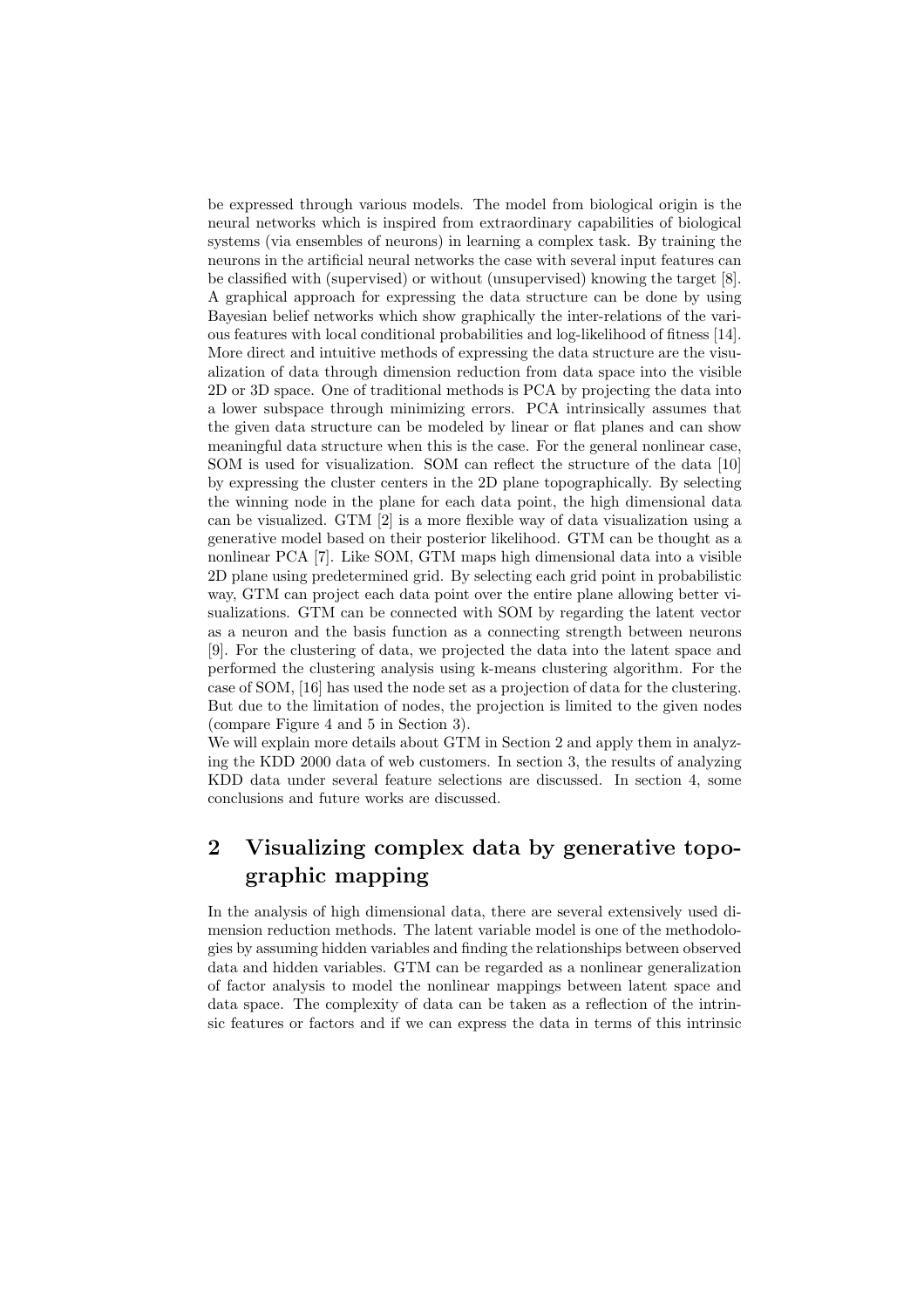be expressed through various models. The model from biological origin is the neural networks which is inspired from extraordinary capabilities of biological systems (via ensembles of neurons) in learning a complex task. By training the neurons in the artificial neural networks the case with several input features can be classified with (supervised) or without (unsupervised) knowing the target [8]. A graphical approach for expressing the data structure can be done by using Bayesian belief networks which show graphically the inter-relations of the various features with local conditional probabilities and log-likelihood of fitness [14]. More direct and intuitive methods of expressing the data structure are the visualization of data through dimension reduction from data space into the visible 2D or 3D space. One of traditional methods is PCA by projecting the data into a lower subspace through minimizing errors. PCA intrinsically assumes that the given data structure can be modeled by linear or flat planes and can show meaningful data structure when this is the case. For the general nonlinear case, SOM is used for visualization. SOM can reflect the structure of the data [10] by expressing the cluster centers in the 2D plane topographically. By selecting the winning node in the plane for each data point, the high dimensional data can be visualized. GTM [2] is a more flexible way of data visualization using a generative model based on their posterior likelihood. GTM can be thought as a nonlinear PCA [7]. Like SOM, GTM maps high dimensional data into a visible 2D plane using predetermined grid. By selecting each grid point in probabilistic way, GTM can project each data point over the entire plane allowing better visualizations. GTM can be connected with SOM by regarding the latent vector as a neuron and the basis function as a connecting strength between neurons [9]. For the clustering of data, we projected the data into the latent space and performed the clustering analysis using k-means clustering algorithm. For the case of SOM, [16] has used the node set as a projection of data for the clustering. But due to the limitation of nodes, the projection is limited to the given nodes (compare Figure 4 and 5 in Section 3).

We will explain more details about GTM in Section 2 and apply them in analyzing the KDD 2000 data of web customers. In section 3, the results of analyzing KDD data under several feature selections are discussed. In section 4, some conclusions and future works are discussed.

## **2 Visualizing complex data by generative topographic mapping**

In the analysis of high dimensional data, there are several extensively used dimension reduction methods. The latent variable model is one of the methodologies by assuming hidden variables and finding the relationships between observed data and hidden variables. GTM can be regarded as a nonlinear generalization of factor analysis to model the nonlinear mappings between latent space and data space. The complexity of data can be taken as a reflection of the intrinsic features or factors and if we can express the data in terms of this intrinsic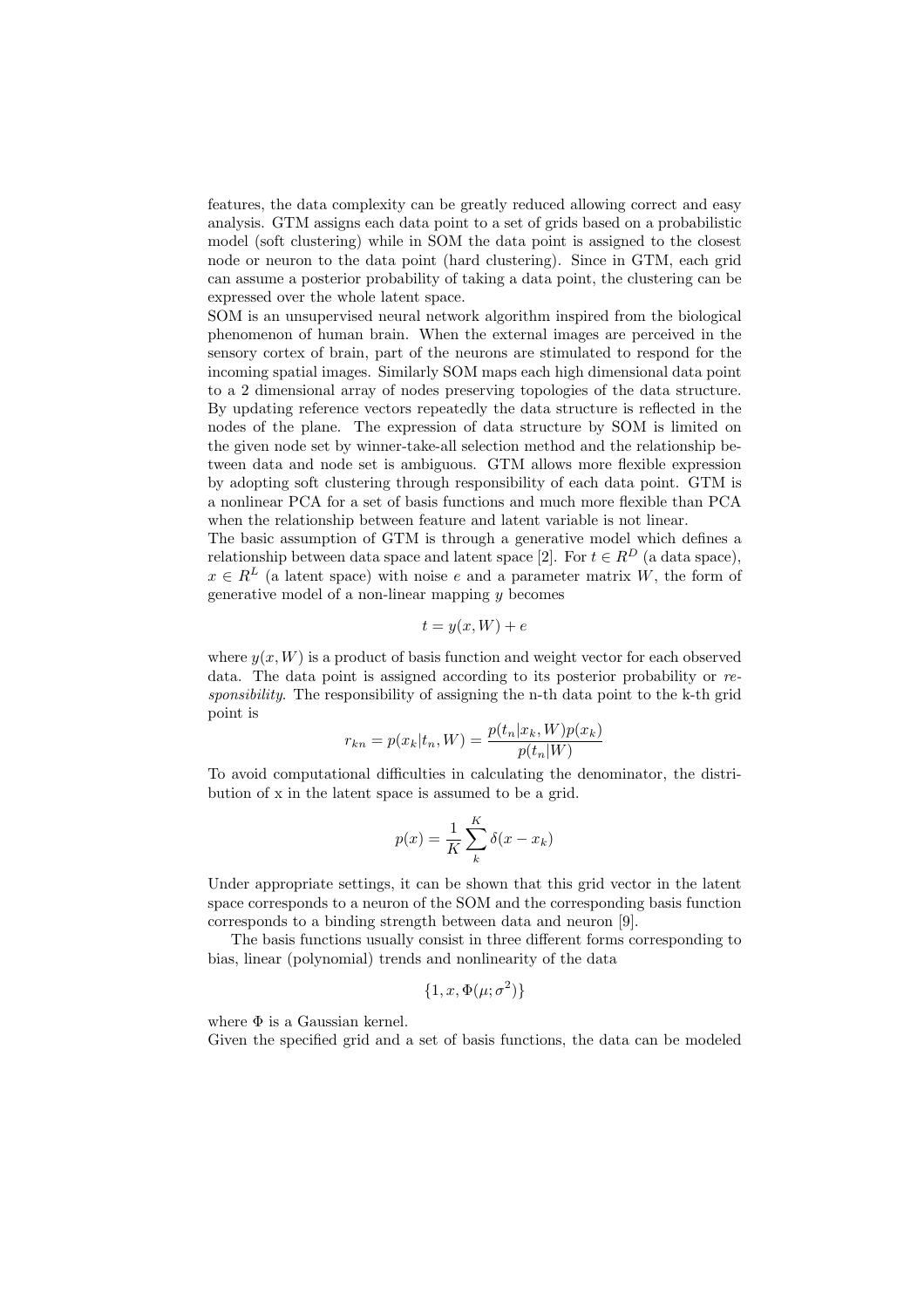features, the data complexity can be greatly reduced allowing correct and easy analysis. GTM assigns each data point to a set of grids based on a probabilistic model (soft clustering) while in SOM the data point is assigned to the closest node or neuron to the data point (hard clustering). Since in GTM, each grid can assume a posterior probability of taking a data point, the clustering can be expressed over the whole latent space.

SOM is an unsupervised neural network algorithm inspired from the biological phenomenon of human brain. When the external images are perceived in the sensory cortex of brain, part of the neurons are stimulated to respond for the incoming spatial images. Similarly SOM maps each high dimensional data point to a 2 dimensional array of nodes preserving topologies of the data structure. By updating reference vectors repeatedly the data structure is reflected in the nodes of the plane. The expression of data structure by SOM is limited on the given node set by winner-take-all selection method and the relationship between data and node set is ambiguous. GTM allows more flexible expression by adopting soft clustering through responsibility of each data point. GTM is a nonlinear PCA for a set of basis functions and much more flexible than PCA when the relationship between feature and latent variable is not linear.

The basic assumption of GTM is through a generative model which defines a relationship between data space and latent space [2]. For  $t \in R^D$  (a data space),  $x \in R^L$  (a latent space) with noise e and a parameter matrix W, the form of generative model of a non-linear mapping  $y$  becomes

$$
t = y(x, W) + e
$$

where  $y(x, W)$  is a product of basis function and weight vector for each observed data. The data point is assigned according to its posterior probability or *responsibility*. The responsibility of assigning the n-th data point to the k-th grid point is

$$
r_{kn} = p(x_k|t_n, W) = \frac{p(t_n|x_k, W)p(x_k)}{p(t_n|W)}
$$

To avoid computational difficulties in calculating the denominator, the distribution of x in the latent space is assumed to be a grid.

$$
p(x) = \frac{1}{K} \sum_{k}^{K} \delta(x - x_k)
$$

Under appropriate settings, it can be shown that this grid vector in the latent space corresponds to a neuron of the SOM and the corresponding basis function corresponds to a binding strength between data and neuron [9].

The basis functions usually consist in three different forms corresponding to bias, linear (polynomial) trends and nonlinearity of the data

$$
\{1, x, \Phi(\mu; \sigma^2)\}
$$

where  $\Phi$  is a Gaussian kernel.

Given the specified grid and a set of basis functions, the data can be modeled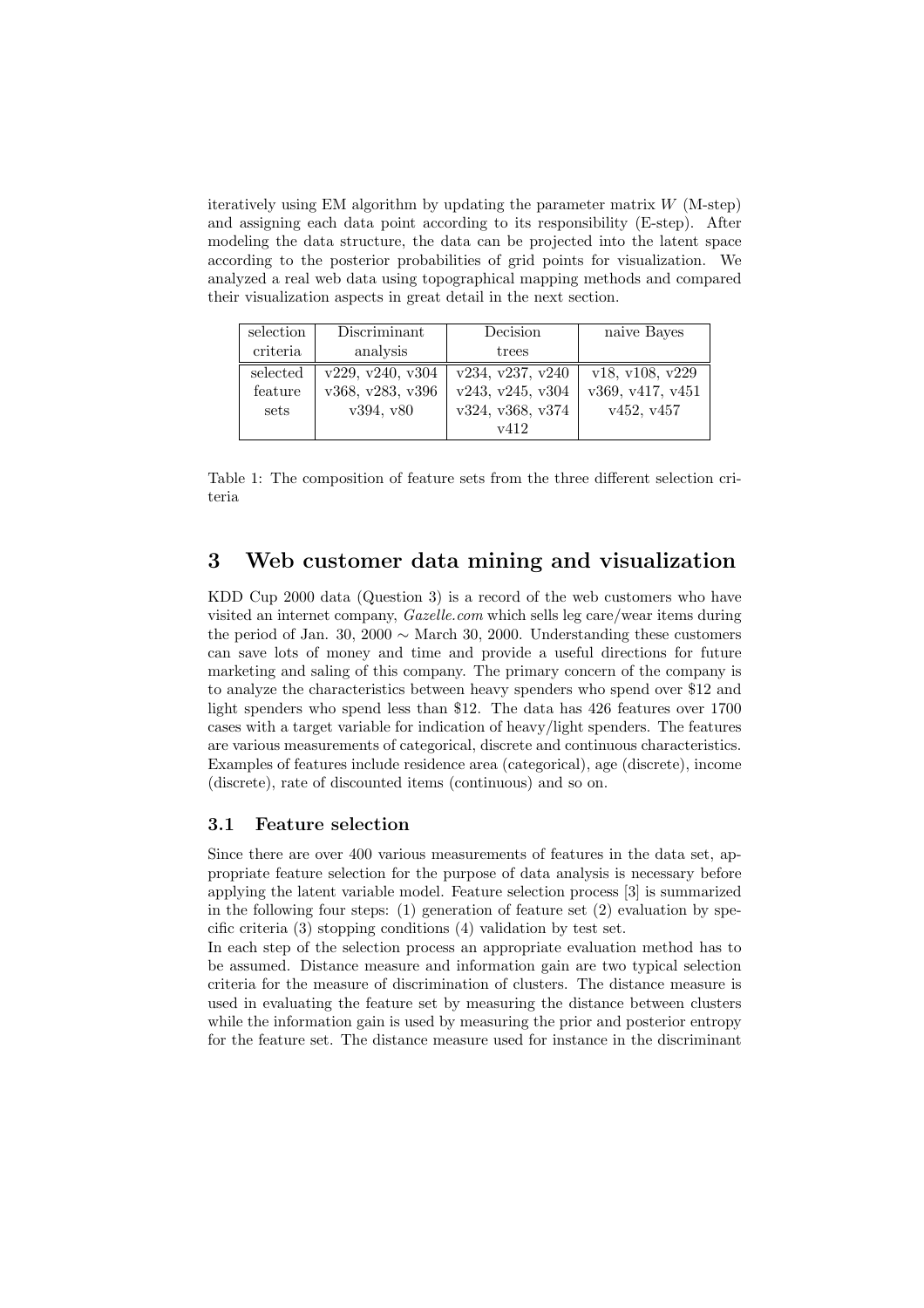iteratively using EM algorithm by updating the parameter matrix  $W$  (M-step) and assigning each data point according to its responsibility (E-step). After modeling the data structure, the data can be projected into the latent space according to the posterior probabilities of grid points for visualization. We analyzed a real web data using topographical mapping methods and compared their visualization aspects in great detail in the next section.

| selection                   | Discriminant                                      | Decision                                                         | naive Bayes                                       |
|-----------------------------|---------------------------------------------------|------------------------------------------------------------------|---------------------------------------------------|
| criteria                    | analysis                                          | trees                                                            |                                                   |
| selected<br>feature<br>sets | v229, v240, v304<br>v368, v283, v396<br>v394, v80 | v234, v237, v240<br>v243, v245, v304<br>v324, v368, v374<br>v412 | v18, v108, v229<br>v369, v417, v451<br>v452, v457 |

Table 1: The composition of feature sets from the three different selection criteria

## **3 Web customer data mining and visualization**

KDD Cup 2000 data (Question 3) is a record of the web customers who have visited an internet company, *Gazelle.com* which sells leg care/wear items during the period of Jan. 30, 2000  $\sim$  March 30, 2000. Understanding these customers can save lots of money and time and provide a useful directions for future marketing and saling of this company. The primary concern of the company is to analyze the characteristics between heavy spenders who spend over \$12 and light spenders who spend less than \$12. The data has 426 features over 1700 cases with a target variable for indication of heavy/light spenders. The features are various measurements of categorical, discrete and continuous characteristics. Examples of features include residence area (categorical), age (discrete), income (discrete), rate of discounted items (continuous) and so on.

#### **3.1 Feature selection**

Since there are over 400 various measurements of features in the data set, appropriate feature selection for the purpose of data analysis is necessary before applying the latent variable model. Feature selection process [3] is summarized in the following four steps: (1) generation of feature set  $(2)$  evaluation by specific criteria (3) stopping conditions (4) validation by test set.

In each step of the selection process an appropriate evaluation method has to be assumed. Distance measure and information gain are two typical selection criteria for the measure of discrimination of clusters. The distance measure is used in evaluating the feature set by measuring the distance between clusters while the information gain is used by measuring the prior and posterior entropy for the feature set. The distance measure used for instance in the discriminant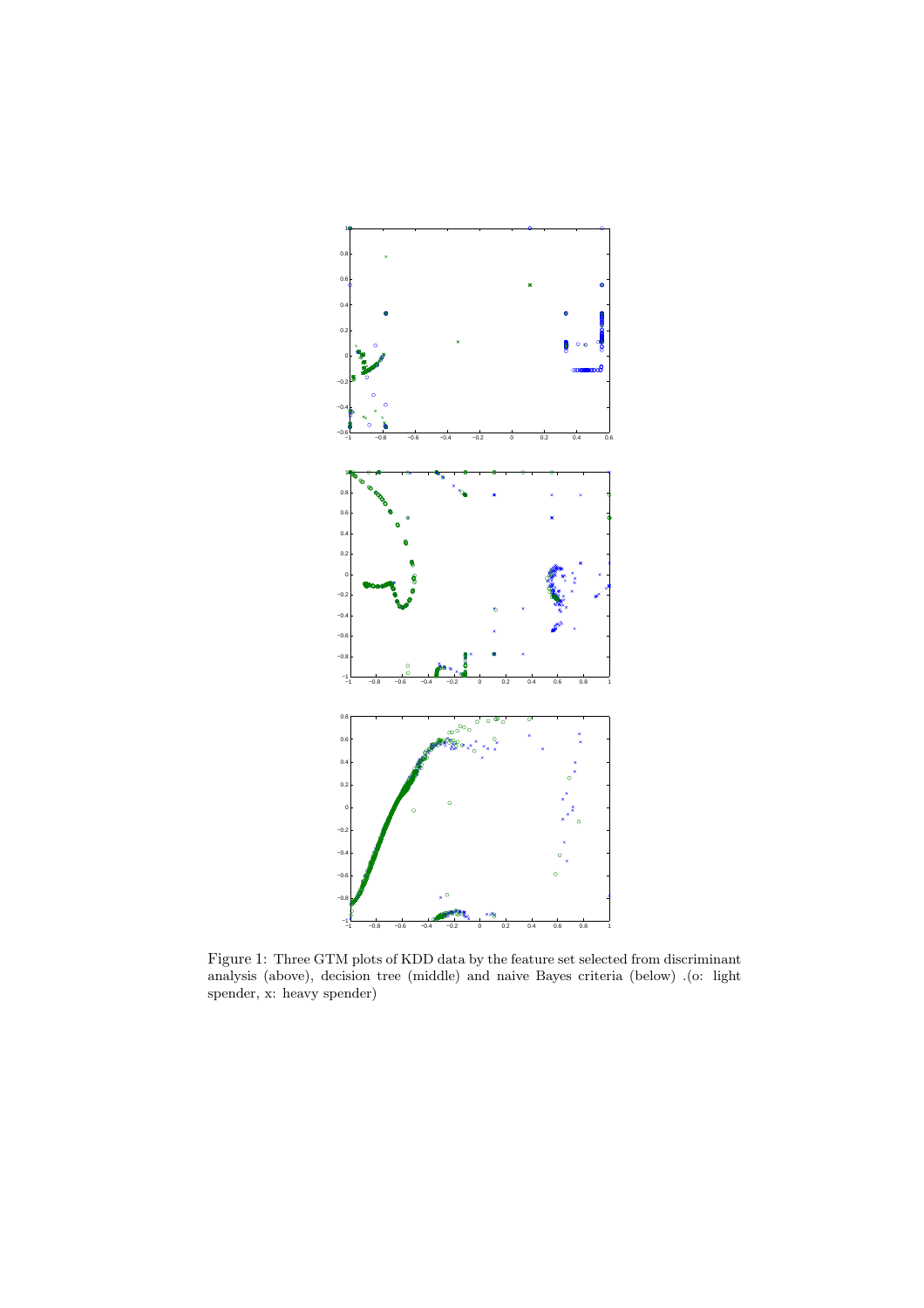

Figure 1: Three GTM plots of KDD data by the feature set selected from discriminant analysis (above), decision tree (middle) and naive Bayes criteria (below) .(o: light spender, x: heavy spender)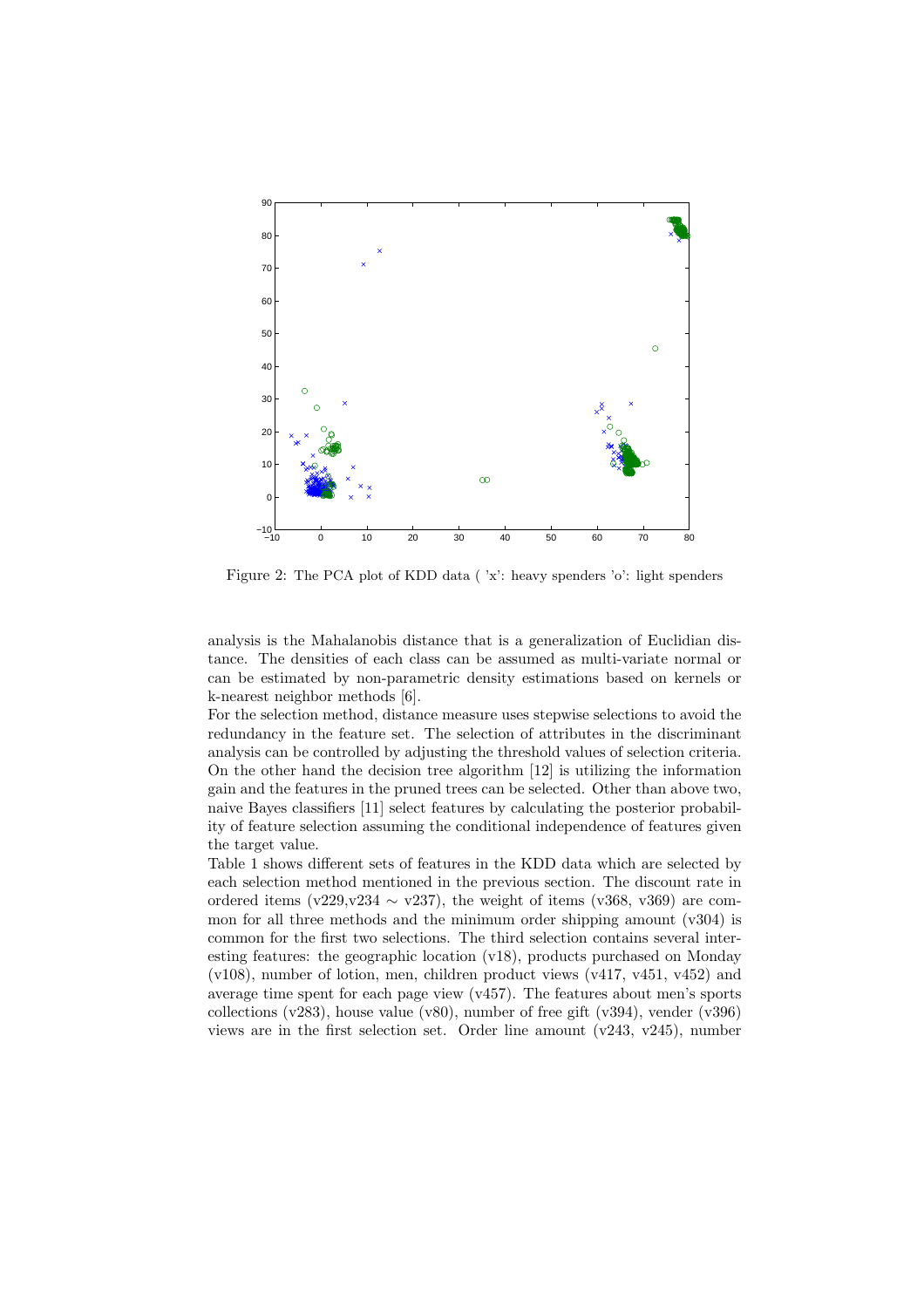

Figure 2: The PCA plot of KDD data ( 'x': heavy spenders 'o': light spenders

analysis is the Mahalanobis distance that is a generalization of Euclidian distance. The densities of each class can be assumed as multi-variate normal or can be estimated by non-parametric density estimations based on kernels or k-nearest neighbor methods [6].

For the selection method, distance measure uses stepwise selections to avoid the redundancy in the feature set. The selection of attributes in the discriminant analysis can be controlled by adjusting the threshold values of selection criteria. On the other hand the decision tree algorithm [12] is utilizing the information gain and the features in the pruned trees can be selected. Other than above two, naive Bayes classifiers [11] select features by calculating the posterior probability of feature selection assuming the conditional independence of features given the target value.

Table 1 shows different sets of features in the KDD data which are selected by each selection method mentioned in the previous section. The discount rate in ordered items (v229, v234  $\sim$  v237), the weight of items (v368, v369) are common for all three methods and the minimum order shipping amount (v304) is common for the first two selections. The third selection contains several interesting features: the geographic location (v18), products purchased on Monday (v108), number of lotion, men, children product views (v417, v451, v452) and average time spent for each page view (v457). The features about men's sports collections (v283), house value (v80), number of free gift (v394), vender (v396) views are in the first selection set. Order line amount (v243, v245), number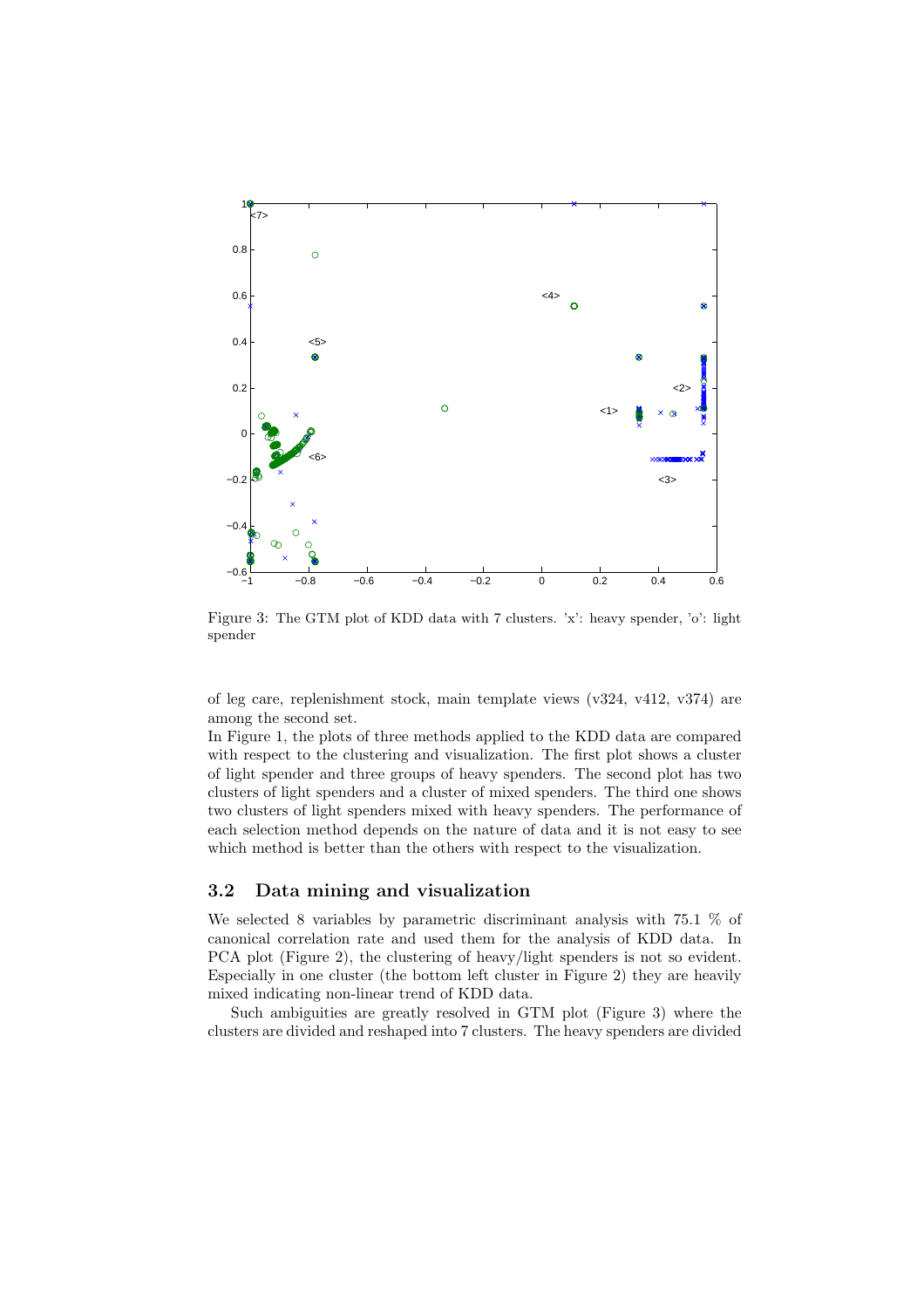

Figure 3: The GTM plot of KDD data with 7 clusters. 'x': heavy spender, 'o': light spender

of leg care, replenishment stock, main template views (v324, v412, v374) are among the second set.

In Figure 1, the plots of three methods applied to the KDD data are compared with respect to the clustering and visualization. The first plot shows a cluster of light spender and three groups of heavy spenders. The second plot has two clusters of light spenders and a cluster of mixed spenders. The third one shows two clusters of light spenders mixed with heavy spenders. The performance of each selection method depends on the nature of data and it is not easy to see which method is better than the others with respect to the visualization.

#### **3.2 Data mining and visualization**

We selected 8 variables by parametric discriminant analysis with 75.1 % of canonical correlation rate and used them for the analysis of KDD data. In PCA plot (Figure 2), the clustering of heavy/light spenders is not so evident. Especially in one cluster (the bottom left cluster in Figure 2) they are heavily mixed indicating non-linear trend of KDD data.

Such ambiguities are greatly resolved in GTM plot (Figure 3) where the clusters are divided and reshaped into 7 clusters. The heavy spenders are divided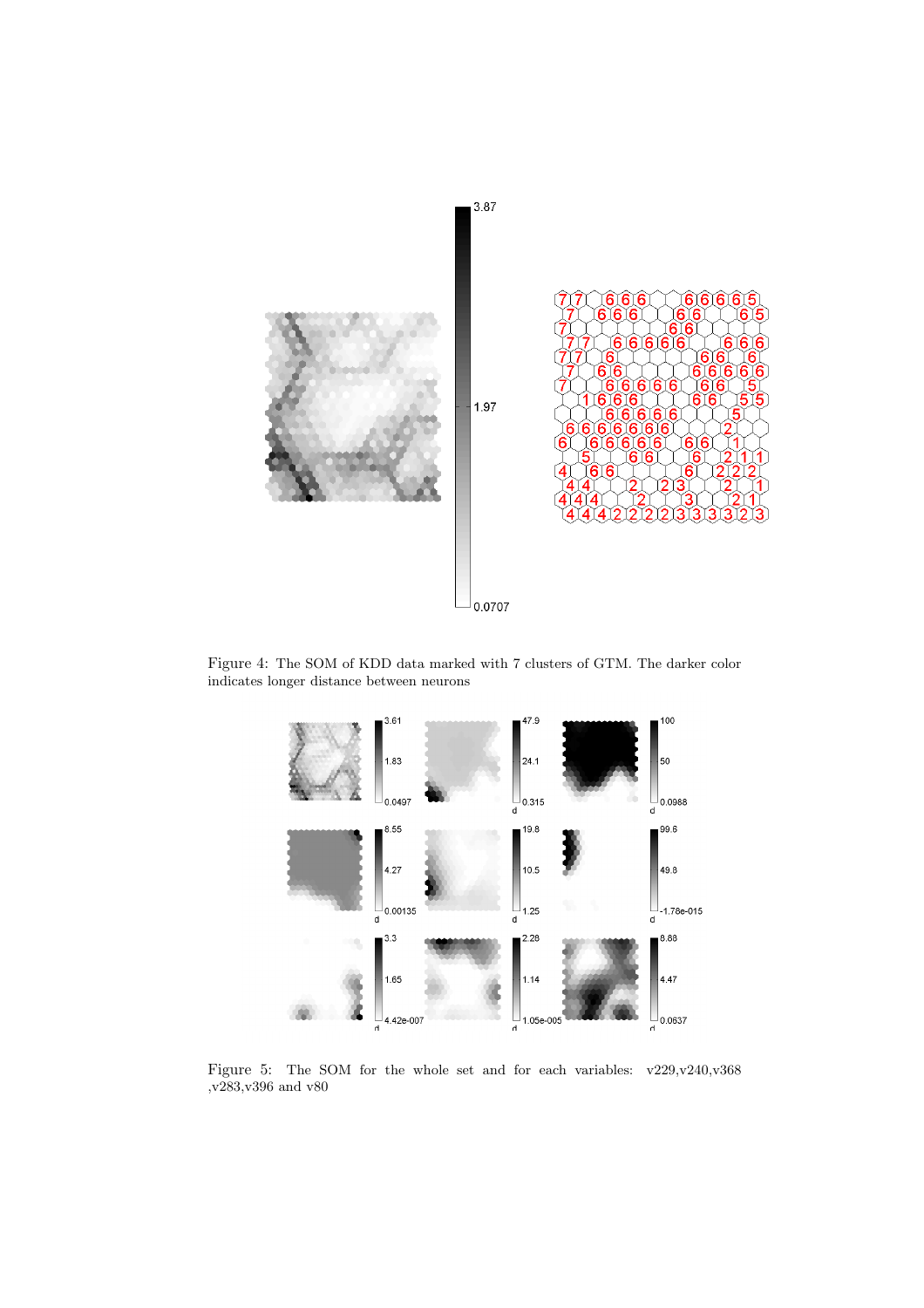

Figure 4: The SOM of KDD data marked with 7 clusters of GTM. The darker color indicates longer distance between neurons



Figure 5: The SOM for the whole set and for each variables: v229,v240,v368 ,v283,v396 and v80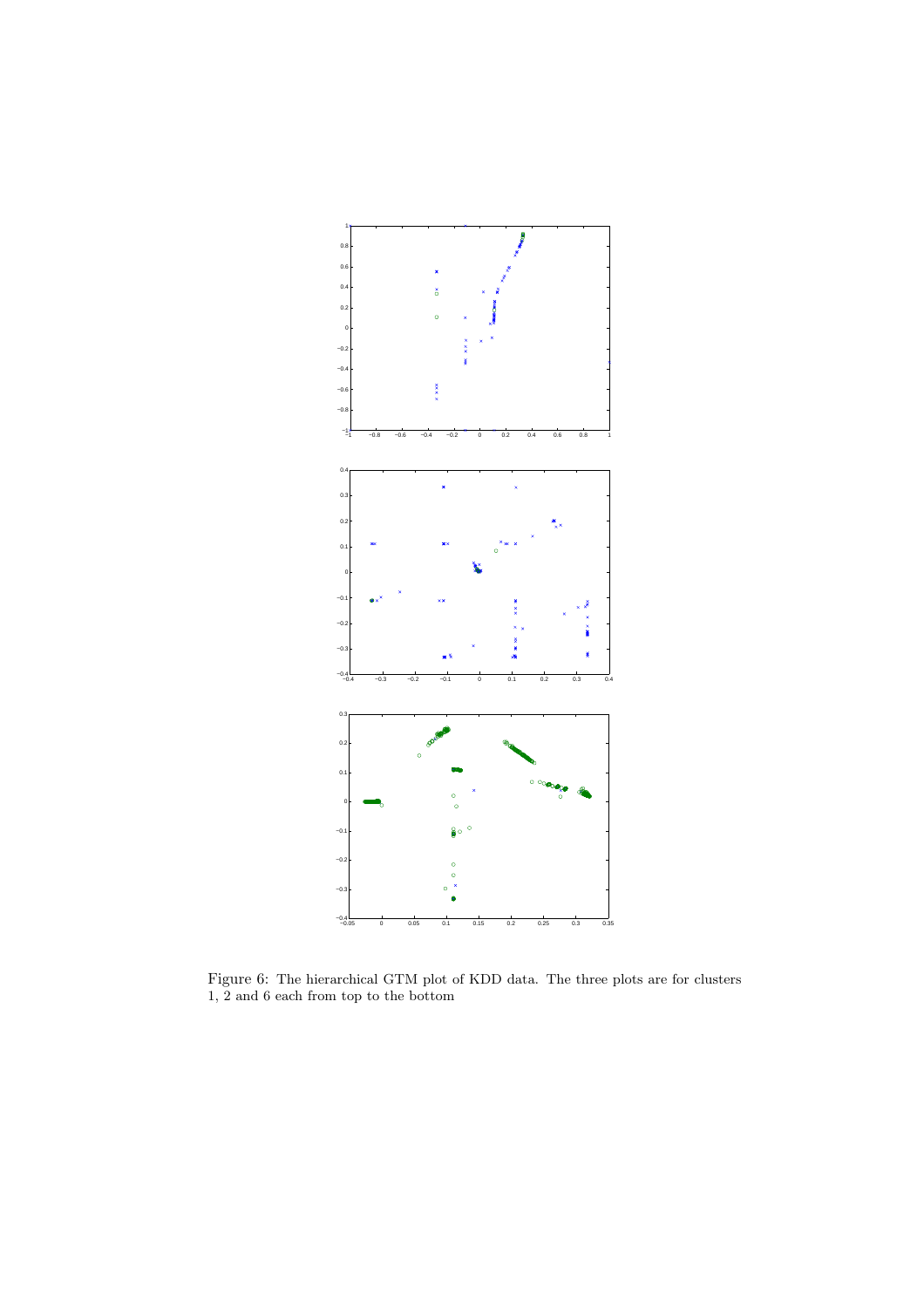

Figure 6: The hierarchical GTM plot of KDD data. The three plots are for clusters 1, 2 and 6 each from top to the bottom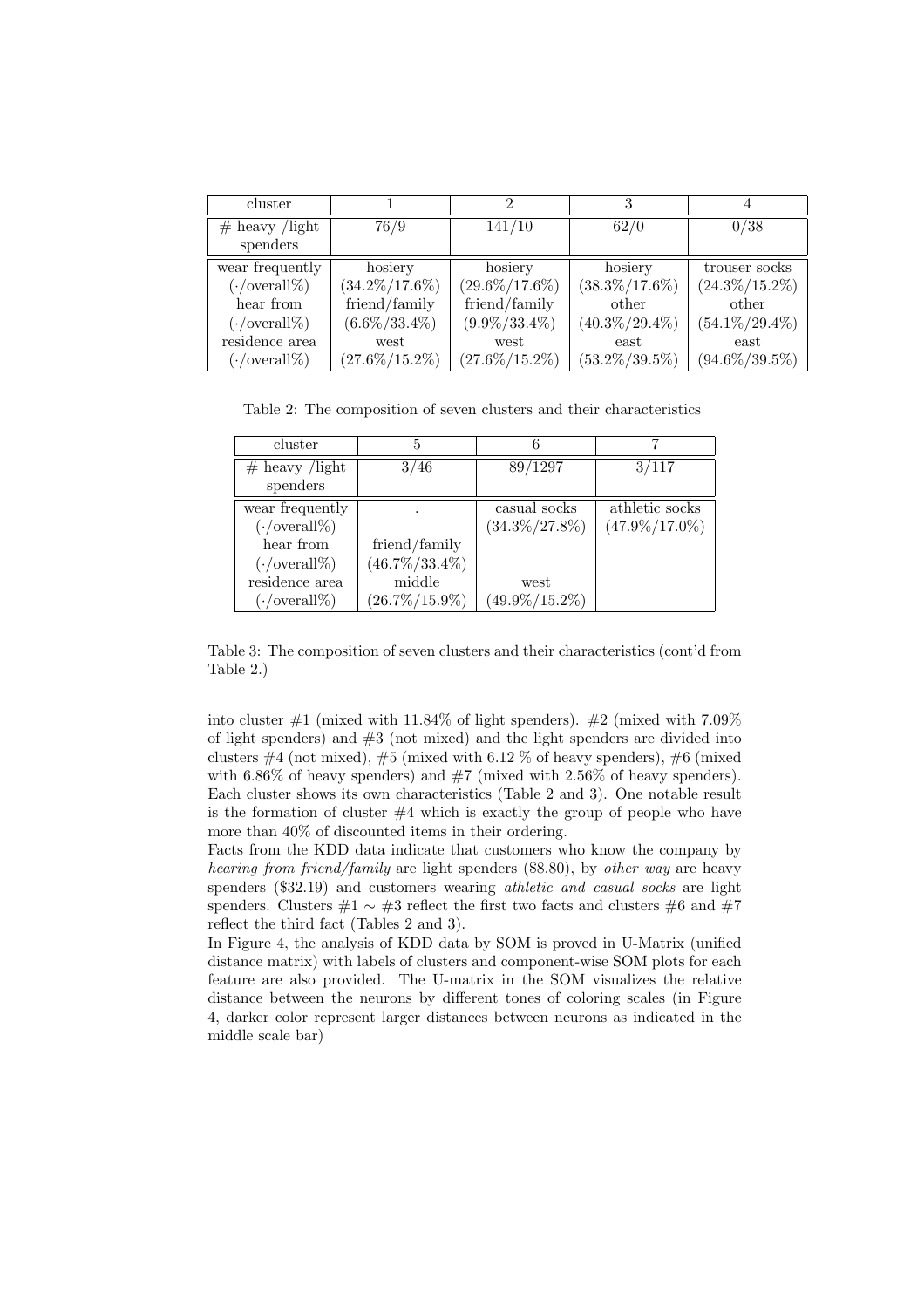| cluster                    |                   | 2                 |                   |                   |
|----------------------------|-------------------|-------------------|-------------------|-------------------|
| $#$ heavy /light           | 76/9              | 141/10            | 62/0              | 0/38              |
| spenders                   |                   |                   |                   |                   |
| wear frequently            | hosiery           | hosiery           | hosiery           | trouser socks     |
| $(\cdot/\text{overall}\%)$ | $(34.2\%/17.6\%)$ | $(29.6\%/17.6\%)$ | $(38.3\%/17.6\%)$ | $(24.3\%/15.2\%)$ |
| hear from                  | friend/family     | friend/family     | other             | other             |
| $(\cdot/\text{overall}\%)$ | $(6.6\%/33.4\%)$  | $(9.9\%/33.4\%)$  | $(40.3\%/29.4\%)$ | $(54.1\%/29.4\%)$ |
| residence area             | west              | west              | east              | east              |
| $(\cdot/\text{overall}\%)$ | $(27.6\%/15.2\%)$ | $(27.6\%/15.2\%)$ | $(53.2\%/39.5\%)$ | $(94.6\%/39.5\%)$ |

Table 2: The composition of seven clusters and their characteristics

| cluster                    | 5                 |                   |                   |  |
|----------------------------|-------------------|-------------------|-------------------|--|
| $#$ heavy /light           | 3/46              | 89/1297           | 3/117             |  |
| spenders                   |                   |                   |                   |  |
| wear frequently            |                   | casual socks      | athletic socks    |  |
| $(\cdot/\text{overall}\%)$ |                   | $(34.3\%/27.8\%)$ | $(47.9\%/17.0\%)$ |  |
| hear from                  | friend/family     |                   |                   |  |
| $(\cdot/\text{overall}\%)$ | $(46.7\%/33.4\%)$ |                   |                   |  |
| residence area             | middle            | west              |                   |  |
| $(\cdot/\text{overall}\%)$ | $(26.7\%/15.9\%)$ | $(49.9\%/15.2\%)$ |                   |  |

Table 3: The composition of seven clusters and their characteristics (cont'd from Table 2.)

into cluster  $#1$  (mixed with 11.84% of light spenders).  $#2$  (mixed with 7.09% of light spenders) and #3 (not mixed) and the light spenders are divided into clusters  $\#4$  (not mixed),  $\#5$  (mixed with 6.12 % of heavy spenders),  $\#6$  (mixed with 6.86% of heavy spenders) and  $#7$  (mixed with 2.56% of heavy spenders). Each cluster shows its own characteristics (Table 2 and 3). One notable result is the formation of cluster  $#4$  which is exactly the group of people who have more than 40% of discounted items in their ordering.

Facts from the KDD data indicate that customers who know the company by *hearing from friend/family* are light spenders (\$8.80), by *other way* are heavy spenders (\$32.19) and customers wearing *athletic and casual socks* are light spenders. Clusters  $#1 \sim #3$  reflect the first two facts and clusters #6 and #7 reflect the third fact (Tables 2 and 3).

In Figure 4, the analysis of KDD data by SOM is proved in U-Matrix (unified distance matrix) with labels of clusters and component-wise SOM plots for each feature are also provided. The U-matrix in the SOM visualizes the relative distance between the neurons by different tones of coloring scales (in Figure 4, darker color represent larger distances between neurons as indicated in the middle scale bar)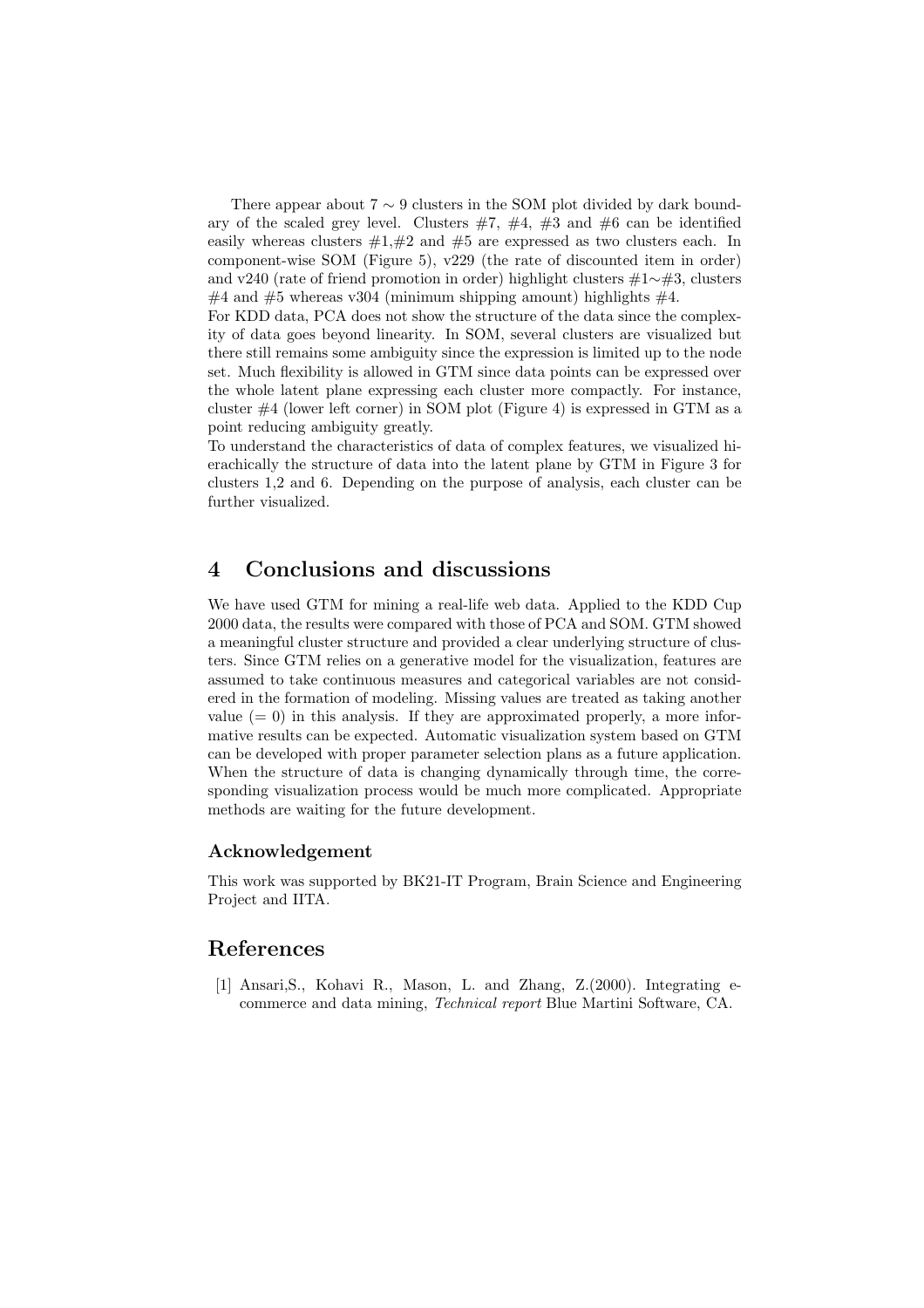There appear about  $7 \sim 9$  clusters in the SOM plot divided by dark boundary of the scaled grey level. Clusters  $#7, #4, #3$  and  $#6$  can be identified easily whereas clusters  $\#1,\#2$  and  $\#5$  are expressed as two clusters each. In component-wise SOM (Figure 5), v229 (the rate of discounted item in order) and v240 (rate of friend promotion in order) highlight clusters #1∼#3, clusters  $\#4$  and  $\#5$  whereas v304 (minimum shipping amount) highlights  $\#4$ .

For KDD data, PCA does not show the structure of the data since the complexity of data goes beyond linearity. In SOM, several clusters are visualized but there still remains some ambiguity since the expression is limited up to the node set. Much flexibility is allowed in GTM since data points can be expressed over the whole latent plane expressing each cluster more compactly. For instance, cluster #4 (lower left corner) in SOM plot (Figure 4) is expressed in GTM as a point reducing ambiguity greatly.

To understand the characteristics of data of complex features, we visualized hierachically the structure of data into the latent plane by GTM in Figure 3 for clusters 1,2 and 6. Depending on the purpose of analysis, each cluster can be further visualized.

## **4 Conclusions and discussions**

We have used GTM for mining a real-life web data. Applied to the KDD Cup 2000 data, the results were compared with those of PCA and SOM. GTM showed a meaningful cluster structure and provided a clear underlying structure of clusters. Since GTM relies on a generative model for the visualization, features are assumed to take continuous measures and categorical variables are not considered in the formation of modeling. Missing values are treated as taking another value  $(= 0)$  in this analysis. If they are approximated properly, a more informative results can be expected. Automatic visualization system based on GTM can be developed with proper parameter selection plans as a future application. When the structure of data is changing dynamically through time, the corresponding visualization process would be much more complicated. Appropriate methods are waiting for the future development.

#### **Acknowledgement**

This work was supported by BK21-IT Program, Brain Science and Engineering Project and IITA.

### **References**

[1] Ansari,S., Kohavi R., Mason, L. and Zhang, Z.(2000). Integrating ecommerce and data mining, *Technical report* Blue Martini Software, CA.